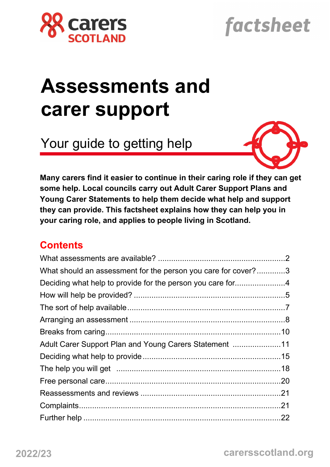

# factsheet

# **Assessments and carer support**

Your guide to getting help



**Many carers find it easier to continue in their caring role if they can get some help. Local councils carry out Adult Carer Support Plans and Young Carer Statements to help them decide what help and support they can provide. This factsheet explains how they can help you in your caring role, and applies to people living in Scotland.**

# **Contents**

| What should an assessment for the person you care for cover?3 |  |
|---------------------------------------------------------------|--|
|                                                               |  |
|                                                               |  |
|                                                               |  |
|                                                               |  |
|                                                               |  |
| Adult Carer Support Plan and Young Carers Statement 11        |  |
|                                                               |  |
|                                                               |  |
|                                                               |  |
|                                                               |  |
|                                                               |  |
|                                                               |  |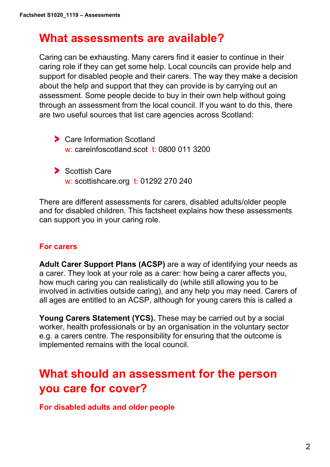# **What assessments are available?**

Caring can be exhausting. Many carers find it easier to continue in their caring role if they can get some help. Local councils can provide help and support for disabled people and their carers. The way they make a decision about the help and support that they can provide is by carrying out an assessment. Some people decide to buy in their own help without going through an assessment from the local council. If you want to do this, there are two useful sources that list care agencies across Scotland:

- **Care Information Scotland** w: careinfoscotland.scot t: 0800 011 3200
- Scottish Care w: scottishcare.org t: 01292 270 240

There are different assessments for carers, disabled adults/older people and for disabled children. This factsheet explains how these assessments can support you in your caring role.

#### **For carers**

**Adult Carer Support Plans (ACSP)** are a way of identifying your needs as a carer. They look at your role as a carer: how being a carer affects you, how much caring you can realistically do (while still allowing you to be involved in activities outside caring), and any help you may need. Carers of all ages are entitled to an ACSP, although for young carers this is called a

**Young Carers Statement (YCS).** These may be carried out by a social worker, health professionals or by an organisation in the voluntary sector e.g. a carers centre. The responsibility for ensuring that the outcome is implemented remains with the local council.

# **What should an assessment for the person you care for cover?**

**For disabled adults and older people**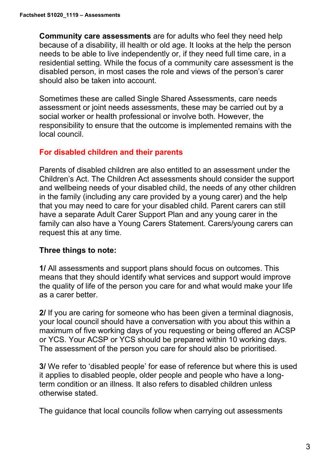**Community care assessments** are for adults who feel they need help because of a disability, ill health or old age. It looks at the help the person needs to be able to live independently or, if they need full time care, in a residential setting. While the focus of a community care assessment is the disabled person, in most cases the role and views of the person's carer should also be taken into account.

Sometimes these are called Single Shared Assessments, care needs assessment or joint needs assessments, these may be carried out by a social worker or health professional or involve both. However, the responsibility to ensure that the outcome is implemented remains with the local council.

#### **For disabled children and their parents**

Parents of disabled children are also entitled to an assessment under the Children's Act. The Children Act assessments should consider the support and wellbeing needs of your disabled child, the needs of any other children in the family (including any care provided by a young carer) and the help that you may need to care for your disabled child. Parent carers can still have a separate Adult Carer Support Plan and any young carer in the family can also have a Young Carers Statement. Carers/young carers can request this at any time.

## **Three things to note:**

**1/** All assessments and support plans should focus on outcomes. This means that they should identify what services and support would improve the quality of life of the person you care for and what would make your life as a carer better.

**2/** If you are caring for someone who has been given a terminal diagnosis, your local council should have a conversation with you about this within a maximum of five working days of you requesting or being offered an ACSP or YCS. Your ACSP or YCS should be prepared within 10 working days. The assessment of the person you care for should also be prioritised.

**3/** We refer to 'disabled people' for ease of reference but where this is used it applies to disabled people, older people and people who have a longterm condition or an illness. It also refers to disabled children unless otherwise stated.

The guidance that local councils follow when carrying out assessments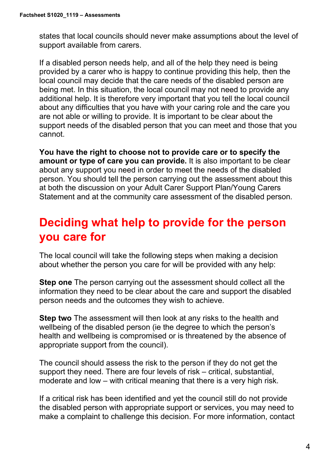states that local councils should never make assumptions about the level of support available from carers.

If a disabled person needs help, and all of the help they need is being provided by a carer who is happy to continue providing this help, then the local council may decide that the care needs of the disabled person are being met. In this situation, the local council may not need to provide any additional help. It is therefore very important that you tell the local council about any difficulties that you have with your caring role and the care you are not able or willing to provide. It is important to be clear about the support needs of the disabled person that you can meet and those that you cannot.

**You have the right to choose not to provide care or to specify the amount or type of care you can provide.** It is also important to be clear about any support you need in order to meet the needs of the disabled person. You should tell the person carrying out the assessment about this at both the discussion on your Adult Carer Support Plan/Young Carers Statement and at the community care assessment of the disabled person.

# **Deciding what help to provide for the person you care for**

The local council will take the following steps when making a decision about whether the person you care for will be provided with any help:

**Step one** The person carrying out the assessment should collect all the information they need to be clear about the care and support the disabled person needs and the outcomes they wish to achieve.

**Step two** The assessment will then look at any risks to the health and wellbeing of the disabled person (ie the degree to which the person's health and wellbeing is compromised or is threatened by the absence of appropriate support from the council).

The council should assess the risk to the person if they do not get the support they need. There are four levels of risk – critical, substantial, moderate and low – with critical meaning that there is a very high risk.

If a critical risk has been identified and yet the council still do not provide the disabled person with appropriate support or services, you may need to make a complaint to challenge this decision. For more information, contact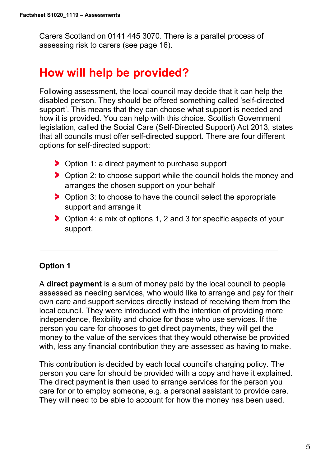Carers Scotland on 0141 445 3070. There is a parallel process of assessing risk to carers (see page 16).

# **How will help be provided?**

Following assessment, the local council may decide that it can help the disabled person. They should be offered something called 'self-directed support'. This means that they can choose what support is needed and how it is provided. You can help with this choice. Scottish Government legislation, called the Social Care (Self-Directed Support) Act 2013, states that all councils must offer self-directed support. There are four different options for self-directed support:

- ▶ Option 1: a direct payment to purchase support
- > Option 2: to choose support while the council holds the money and arranges the chosen support on your behalf
- **Department 3.** Option 3: to choose to have the council select the appropriate support and arrange it
- Option 4: a mix of options 1, 2 and 3 for specific aspects of your support.

## **Option 1**

A **direct payment** is a sum of money paid by the local council to people assessed as needing services, who would like to arrange and pay for their own care and support services directly instead of receiving them from the local council. They were introduced with the intention of providing more independence, flexibility and choice for those who use services. If the person you care for chooses to get direct payments, they will get the money to the value of the services that they would otherwise be provided with, less any financial contribution they are assessed as having to make.

This contribution is decided by each local council's charging policy. The person you care for should be provided with a copy and have it explained. The direct payment is then used to arrange services for the person you care for or to employ someone, e.g. a personal assistant to provide care. They will need to be able to account for how the money has been used.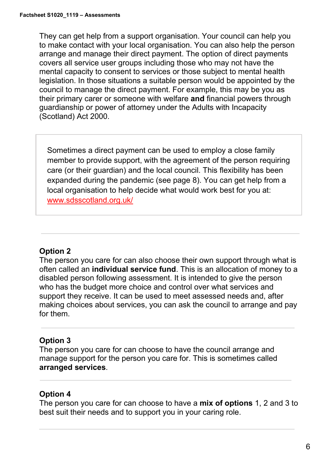They can get help from a support organisation. Your council can help you to make contact with your local organisation. You can also help the person arrange and manage their direct payment. The option of direct payments covers all service user groups including those who may not have the mental capacity to consent to services or those subject to mental health legislation. In those situations a suitable person would be appointed by the council to manage the direct payment. For example, this may be you as their primary carer or someone with welfare **and** financial powers through guardianship or power of attorney under the Adults with Incapacity (Scotland) Act 2000.

Sometimes a direct payment can be used to employ a close family member to provide support, with the agreement of the person requiring care (or their guardian) and the local council. This flexibility has been expanded during the pandemic (see page 8). You can get help from a local organisation to help decide what would work best for you at: [www.sdsscotland.org.uk/](https://www.sdsscotland.org.uk/)

## **Option 2**

The person you care for can also choose their own support through what is often called an **individual service fund**. This is an allocation of money to a disabled person following assessment. It is intended to give the person who has the budget more choice and control over what services and support they receive. It can be used to meet assessed needs and, after making choices about services, you can ask the council to arrange and pay for them.

## **Option 3**

The person you care for can choose to have the council arrange and manage support for the person you care for. This is sometimes called **arranged services**.

## **Option 4**

The person you care for can choose to have a **mix of options** 1, 2 and 3 to best suit their needs and to support you in your caring role.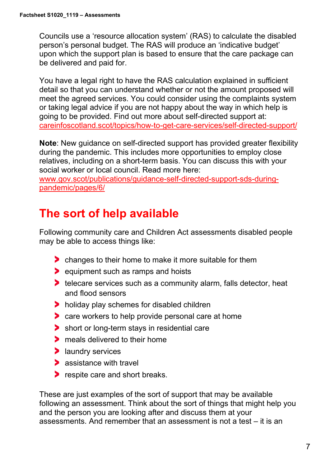Councils use a 'resource allocation system' (RAS) to calculate the disabled person's personal budget. The RAS will produce an 'indicative budget' upon which the support plan is based to ensure that the care package can be delivered and paid for.

You have a legal right to have the RAS calculation explained in sufficient detail so that you can understand whether or not the amount proposed will meet the agreed services. You could consider using the complaints system or taking legal advice if you are not happy about the way in which help is going to be provided. Find out more about self-directed support at: [careinfoscotland.scot/topics/how-to-get-care-services/self-directed-support/](https://www.careinfoscotland.scot/topics/how-to-get-care-services/self-directed-support/)

**Note**: New guidance on self-directed support has provided greater flexibility during the pandemic. This includes more opportunities to employ close relatives, including on a short-term basis. You can discuss this with your social worker or local council. Read more here:

[www.gov.scot/publications/guidance-self-directed-support-sds-during](http://www.gov.scot/publications/guidance-self-directed-support-sds-during-pandemic/pages/6/)[pandemic/pages/6/](http://www.gov.scot/publications/guidance-self-directed-support-sds-during-pandemic/pages/6/)

# **The sort of help available**

Following community care and Children Act assessments disabled people may be able to access things like:

- **Changes to their home to make it more suitable for them**
- **Exercise 2** equipment such as ramps and hoists
- **telecare services such as a community alarm, falls detector, heat** and flood sensors
- holiday play schemes for disabled children
- **Care workers to help provide personal care at home**
- short or long-term stays in residential care
- **The meals delivered to their home**
- **>** laundry services
- **assistance with travel**
- respite care and short breaks.

These are just examples of the sort of support that may be available following an assessment. Think about the sort of things that might help you and the person you are looking after and discuss them at your assessments. And remember that an assessment is not a test – it is an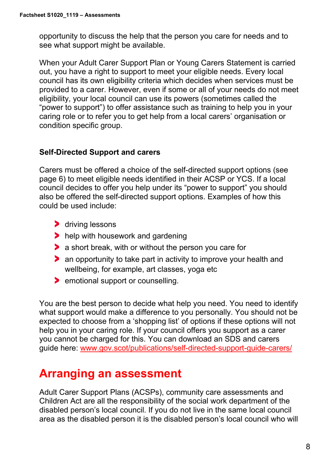opportunity to discuss the help that the person you care for needs and to see what support might be available.

When your Adult Carer Support Plan or Young Carers Statement is carried out, you have a right to support to meet your eligible needs. Every local council has its own eligibility criteria which decides when services must be provided to a carer. However, even if some or all of your needs do not meet eligibility, your local council can use its powers (sometimes called the "power to support") to offer assistance such as training to help you in your caring role or to refer you to get help from a local carers' organisation or condition specific group.

#### **Self-Directed Support and carers**

Carers must be offered a choice of the self-directed support options (see page 6) to meet eligible needs identified in their ACSP or YCS. If a local council decides to offer you help under its "power to support" you should also be offered the self-directed support options. Examples of how this could be used include:

- **driving lessons**
- help with housework and gardening
- a short break, with or without the person you care for
- an opportunity to take part in activity to improve your health and wellbeing, for example, art classes, yoga etc
- **EXECUTE:** 1 conselling.

You are the best person to decide what help you need. You need to identify what support would make a difference to you personally. You should not be expected to choose from a 'shopping list' of options if these options will not help you in your caring role. If your council offers you support as a carer you cannot be charged for this. You can download an SDS and carers guide here: [www.gov.scot/publications/self-directed-support-guide-carers/](https://www.gov.scot/publications/self-directed-support-guide-carers/)

# **Arranging an assessment**

Adult Carer Support Plans (ACSPs), community care assessments and Children Act are all the responsibility of the social work department of the disabled person's local council. If you do not live in the same local council area as the disabled person it is the disabled person's local council who will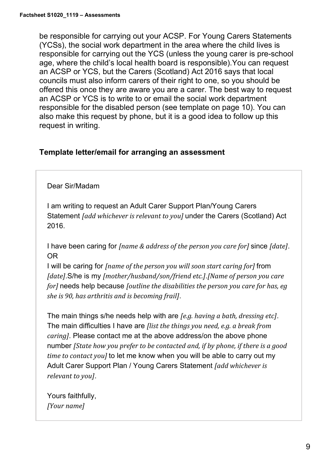be responsible for carrying out your ACSP. For Young Carers Statements (YCSs), the social work department in the area where the child lives is responsible for carrying out the YCS (unless the young carer is pre-school age, where the child's local health board is responsible).You can request an ACSP or YCS, but the Carers (Scotland) Act 2016 says that local councils must also inform carers of their right to one, so you should be offered this once they are aware you are a carer. The best way to request an ACSP or YCS is to write to or email the social work department responsible for the disabled person (see template on page 10). You can also make this request by phone, but it is a good idea to follow up this request in writing.

#### **Template letter/email for arranging an assessment**

#### Dear Sir/Madam

I am writing to request an Adult Carer Support Plan/Young Carers Statement *[add whichever is relevant to you]* under the Carers (Scotland) Act 2016.

I have been caring for *[name & address of the person you care for]* since *[date]*. OR

I will be caring for *[name of the person you will soon start caring for]* from *[date]*.S/he is my *[mother/husband/son/friend etc.]*.*[Name of person you care for]* needs help because *[outline the disabilities the person you care for has, eg she is 90, has arthritis and is becoming frail]*.

The main things s/he needs help with are *[e.g. having a bath, dressing etc]*. The main difficulties I have are *[list the things you need, e.g. a break from caring]*. Please contact me at the above address/on the above phone number *[State how you prefer to be contacted and, if by phone, if there is a good time to contact you]* to let me know when you will be able to carry out my Adult Carer Support Plan / Young Carers Statement *[add whichever is relevant to you]*.

Yours faithfully, *[Your name]*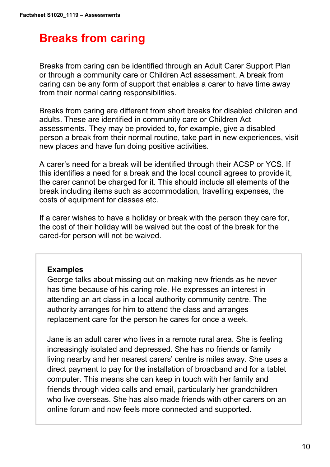# **Breaks from caring**

Breaks from caring can be identified through an Adult Carer Support Plan or through a community care or Children Act assessment. A break from caring can be any form of support that enables a carer to have time away from their normal caring responsibilities.

Breaks from caring are different from short breaks for disabled children and adults. These are identified in community care or Children Act assessments. They may be provided to, for example, give a disabled person a break from their normal routine, take part in new experiences, visit new places and have fun doing positive activities.

A carer's need for a break will be identified through their ACSP or YCS. If this identifies a need for a break and the local council agrees to provide it, the carer cannot be charged for it. This should include all elements of the break including items such as accommodation, travelling expenses, the costs of equipment for classes etc.

If a carer wishes to have a holiday or break with the person they care for, the cost of their holiday will be waived but the cost of the break for the cared-for person will not be waived.

#### **Examples**

George talks about missing out on making new friends as he never has time because of his caring role. He expresses an interest in attending an art class in a local authority community centre. The authority arranges for him to attend the class and arranges replacement care for the person he cares for once a week.

Jane is an adult carer who lives in a remote rural area. She is feeling increasingly isolated and depressed. She has no friends or family living nearby and her nearest carers' centre is miles away. She uses a direct payment to pay for the installation of broadband and for a tablet computer. This means she can keep in touch with her family and friends through video calls and email, particularly her grandchildren who live overseas. She has also made friends with other carers on an online forum and now feels more connected and supported.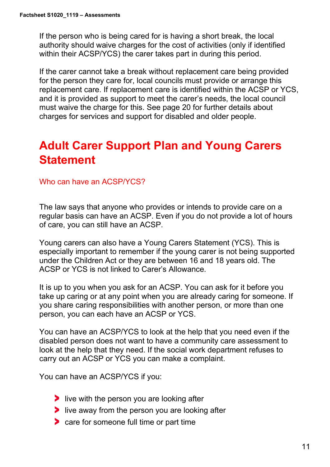If the person who is being cared for is having a short break, the local authority should waive charges for the cost of activities (only if identified within their ACSP/YCS) the carer takes part in during this period.

If the carer cannot take a break without replacement care being provided for the person they care for, local councils must provide or arrange this replacement care. If replacement care is identified within the ACSP or YCS, and it is provided as support to meet the carer's needs, the local council must waive the charge for this. See page 20 for further details about charges for services and support for disabled and older people.

# **Adult Carer Support Plan and Young Carers Statement**

#### Who can have an ACSP/YCS?

The law says that anyone who provides or intends to provide care on a regular basis can have an ACSP. Even if you do not provide a lot of hours of care, you can still have an ACSP.

Young carers can also have a Young Carers Statement (YCS). This is especially important to remember if the young carer is not being supported under the Children Act or they are between 16 and 18 years old. The ACSP or YCS is not linked to Carer's Allowance.

It is up to you when you ask for an ACSP. You can ask for it before you take up caring or at any point when you are already caring for someone. If you share caring responsibilities with another person, or more than one person, you can each have an ACSP or YCS.

You can have an ACSP/YCS to look at the help that you need even if the disabled person does not want to have a community care assessment to look at the help that they need. If the social work department refuses to carry out an ACSP or YCS you can make a complaint.

You can have an ACSP/YCS if you:

- $\blacktriangleright$  live with the person you are looking after
- $\blacktriangleright$  live away from the person you are looking after
- **Care for someone full time or part time**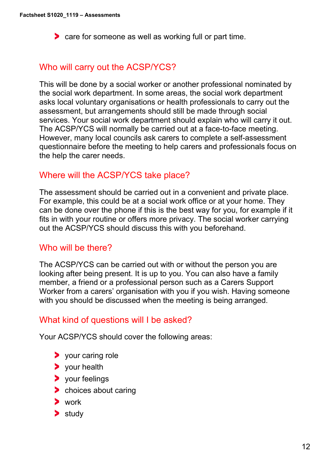care for someone as well as working full or part time.

## Who will carry out the ACSP/YCS?

This will be done by a social worker or another professional nominated by the social work department. In some areas, the social work department asks local voluntary organisations or health professionals to carry out the assessment, but arrangements should still be made through social services. Your social work department should explain who will carry it out. The ACSP/YCS will normally be carried out at a face-to-face meeting. However, many local councils ask carers to complete a self-assessment questionnaire before the meeting to help carers and professionals focus on the help the carer needs.

## Where will the ACSP/YCS take place?

The assessment should be carried out in a convenient and private place. For example, this could be at a social work office or at your home. They can be done over the phone if this is the best way for you, for example if it fits in with your routine or offers more privacy. The social worker carrying out the ACSP/YCS should discuss this with you beforehand.

## Who will be there?

The ACSP/YCS can be carried out with or without the person you are looking after being present. It is up to you. You can also have a family member, a friend or a professional person such as a Carers Support Worker from a carers' organisation with you if you wish. Having someone with you should be discussed when the meeting is being arranged.

#### What kind of questions will I be asked?

Your ACSP/YCS should cover the following areas:

- > your caring role
- vour health
- **>** vour feelings
- **b** choices about caring
- work
- $\blacktriangleright$  study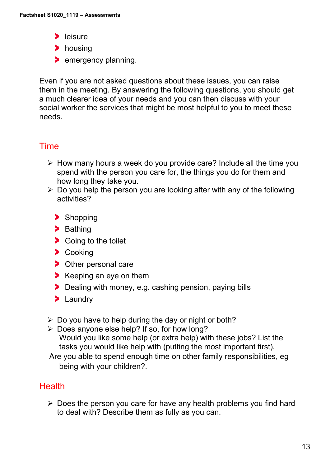- $\blacktriangleright$  leisure
- housing
- **>** emergency planning.

Even if you are not asked questions about these issues, you can raise them in the meeting. By answering the following questions, you should get a much clearer idea of your needs and you can then discuss with your social worker the services that might be most helpful to you to meet these needs.

# Time

- $\triangleright$  How many hours a week do you provide care? Include all the time you spend with the person you care for, the things you do for them and how long they take you.
- $\triangleright$  Do you help the person you are looking after with any of the following activities?
	- > Shopping
	- > Bathing
	- Soing to the toilet
	- > Cooking
	- > Other personal care
	- $\blacktriangleright$  Keeping an eye on them
	- Dealing with money, e.g. cashing pension, paying bills
	- > Laundry
- $\triangleright$  Do you have to help during the day or night or both?
- $\triangleright$  Does anyone else help? If so, for how long? Would you like some help (or extra help) with these jobs? List the tasks you would like help with (putting the most important first).
- Are you able to spend enough time on other family responsibilities, eg being with your children?.

# **Health**

 $\triangleright$  Does the person you care for have any health problems you find hard to deal with? Describe them as fully as you can.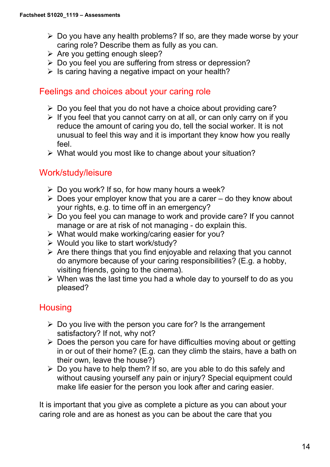- $\triangleright$  Do you have any health problems? If so, are they made worse by your caring role? Describe them as fully as you can.
- $\triangleright$  Are you getting enough sleep?
- Do you feel you are suffering from stress or depression?
- $\triangleright$  Is caring having a negative impact on your health?

## Feelings and choices about your caring role

- $\triangleright$  Do you feel that you do not have a choice about providing care?
- $\triangleright$  If you feel that you cannot carry on at all, or can only carry on if you reduce the amount of caring you do, tell the social worker. It is not unusual to feel this way and it is important they know how you really feel.
- What would you most like to change about your situation?

# Work/study/leisure

- $\triangleright$  Do you work? If so, for how many hours a week?
- $\triangleright$  Does your employer know that you are a carer do they know about your rights, e.g. to time off in an emergency?
- Do you feel you can manage to work and provide care? If you cannot manage or are at risk of not managing - do explain this.
- $\triangleright$  What would make working/caring easier for you?
- Would you like to start work/study?
- $\triangleright$  Are there things that you find enjoyable and relaxing that you cannot do anymore because of your caring responsibilities? (E.g. a hobby, visiting friends, going to the cinema).
- $\triangleright$  When was the last time you had a whole day to yourself to do as you pleased?

# **Housing**

- $\triangleright$  Do you live with the person you care for? Is the arrangement satisfactory? If not, why not?
- $\triangleright$  Does the person you care for have difficulties moving about or getting in or out of their home? (E.g. can they climb the stairs, have a bath on their own, leave the house?)
- $\triangleright$  Do you have to help them? If so, are you able to do this safely and without causing yourself any pain or injury? Special equipment could make life easier for the person you look after and caring easier.

It is important that you give as complete a picture as you can about your caring role and are as honest as you can be about the care that you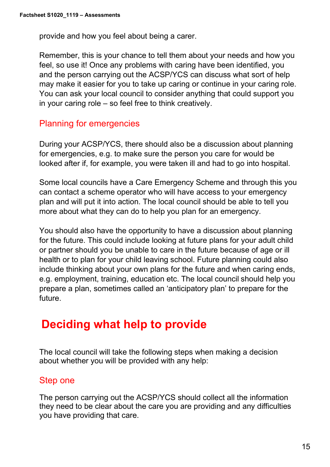provide and how you feel about being a carer.

Remember, this is your chance to tell them about your needs and how you feel, so use it! Once any problems with caring have been identified, you and the person carrying out the ACSP/YCS can discuss what sort of help may make it easier for you to take up caring or continue in your caring role. You can ask your local council to consider anything that could support you in your caring role – so feel free to think creatively.

# Planning for emergencies

During your ACSP/YCS, there should also be a discussion about planning for emergencies, e.g. to make sure the person you care for would be looked after if, for example, you were taken ill and had to go into hospital.

Some local councils have a Care Emergency Scheme and through this you can contact a scheme operator who will have access to your emergency plan and will put it into action. The local council should be able to tell you more about what they can do to help you plan for an emergency.

You should also have the opportunity to have a discussion about planning for the future. This could include looking at future plans for your adult child or partner should you be unable to care in the future because of age or ill health or to plan for your child leaving school. Future planning could also include thinking about your own plans for the future and when caring ends, e.g. employment, training, education etc. The local council should help you prepare a plan, sometimes called an 'anticipatory plan' to prepare for the future.

# **Deciding what help to provide**

The local council will take the following steps when making a decision about whether you will be provided with any help:

## Step one

The person carrying out the ACSP/YCS should collect all the information they need to be clear about the care you are providing and any difficulties you have providing that care.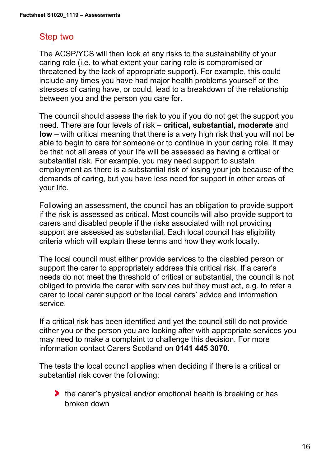## Step two

The ACSP/YCS will then look at any risks to the sustainability of your caring role (i.e. to what extent your caring role is compromised or threatened by the lack of appropriate support). For example, this could include any times you have had major health problems yourself or the stresses of caring have, or could, lead to a breakdown of the relationship between you and the person you care for.

The council should assess the risk to you if you do not get the support you need. There are four levels of risk – **critical, substantial, moderate** and **low** – with critical meaning that there is a very high risk that you will not be able to begin to care for someone or to continue in your caring role. It may be that not all areas of your life will be assessed as having a critical or substantial risk. For example, you may need support to sustain employment as there is a substantial risk of losing your job because of the demands of caring, but you have less need for support in other areas of your life.

Following an assessment, the council has an obligation to provide support if the risk is assessed as critical. Most councils will also provide support to carers and disabled people if the risks associated with not providing support are assessed as substantial. Each local council has eligibility criteria which will explain these terms and how they work locally.

The local council must either provide services to the disabled person or support the carer to appropriately address this critical risk. If a carer's needs do not meet the threshold of critical or substantial, the council is not obliged to provide the carer with services but they must act, e.g. to refer a carer to local carer support or the local carers' advice and information service.

If a critical risk has been identified and yet the council still do not provide either you or the person you are looking after with appropriate services you may need to make a complaint to challenge this decision. For more information contact Carers Scotland on **0141 445 3070**.

The tests the local council applies when deciding if there is a critical or substantial risk cover the following:

**the carer's physical and/or emotional health is breaking or has** broken down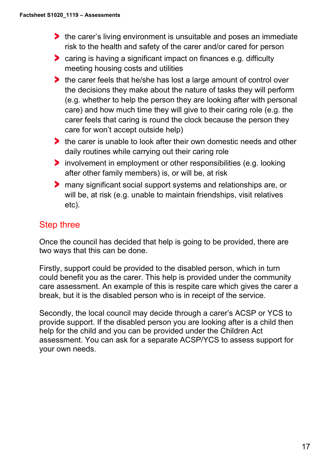- **the carer's living environment is unsuitable and poses an immediate** risk to the health and safety of the carer and/or cared for person
- caring is having a significant impact on finances e.g. difficulty meeting housing costs and utilities
- **the carer feels that he/she has lost a large amount of control over** the decisions they make about the nature of tasks they will perform (e.g. whether to help the person they are looking after with personal care) and how much time they will give to their caring role (e.g. the carer feels that caring is round the clock because the person they care for won't accept outside help)
- the carer is unable to look after their own domestic needs and other daily routines while carrying out their caring role
- involvement in employment or other responsibilities (e.g. looking after other family members) is, or will be, at risk
- many significant social support systems and relationships are, or will be, at risk (e.g. unable to maintain friendships, visit relatives etc).

# Step three

Once the council has decided that help is going to be provided, there are two ways that this can be done.

Firstly, support could be provided to the disabled person, which in turn could benefit you as the carer. This help is provided under the community care assessment. An example of this is respite care which gives the carer a break, but it is the disabled person who is in receipt of the service.

Secondly, the local council may decide through a carer's ACSP or YCS to provide support. If the disabled person you are looking after is a child then help for the child and you can be provided under the Children Act assessment. You can ask for a separate ACSP/YCS to assess support for your own needs.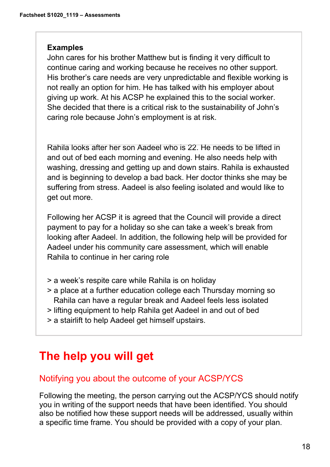#### **Examples**

John cares for his brother Matthew but is finding it very difficult to continue caring and working because he receives no other support. His brother's care needs are very unpredictable and flexible working is not really an option for him. He has talked with his employer about giving up work. At his ACSP he explained this to the social worker. She decided that there is a critical risk to the sustainability of John's caring role because John's employment is at risk.

Rahila looks after her son Aadeel who is 22. He needs to be lifted in and out of bed each morning and evening. He also needs help with washing, dressing and getting up and down stairs. Rahila is exhausted and is beginning to develop a bad back. Her doctor thinks she may be suffering from stress. Aadeel is also feeling isolated and would like to get out more.

Following her ACSP it is agreed that the Council will provide a direct payment to pay for a holiday so she can take a week's break from looking after Aadeel. In addition, the following help will be provided for Aadeel under his community care assessment, which will enable Rahila to continue in her caring role

- > a week's respite care while Rahila is on holiday
- > a place at a further education college each Thursday morning so Rahila can have a regular break and Aadeel feels less isolated
- > lifting equipment to help Rahila get Aadeel in and out of bed
- > a stairlift to help Aadeel get himself upstairs.

# **The help you will get**

## Notifying you about the outcome of your ACSP/YCS

Following the meeting, the person carrying out the ACSP/YCS should notify you in writing of the support needs that have been identified. You should also be notified how these support needs will be addressed, usually within a specific time frame. You should be provided with a copy of your plan.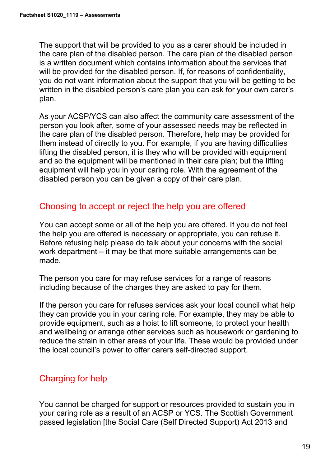The support that will be provided to you as a carer should be included in the care plan of the disabled person. The care plan of the disabled person is a written document which contains information about the services that will be provided for the disabled person. If, for reasons of confidentiality, you do not want information about the support that you will be getting to be written in the disabled person's care plan you can ask for your own carer's plan.

As your ACSP/YCS can also affect the community care assessment of the person you look after, some of your assessed needs may be reflected in the care plan of the disabled person. Therefore, help may be provided for them instead of directly to you. For example, if you are having difficulties lifting the disabled person, it is they who will be provided with equipment and so the equipment will be mentioned in their care plan; but the lifting equipment will help you in your caring role. With the agreement of the disabled person you can be given a copy of their care plan.

## Choosing to accept or reject the help you are offered

You can accept some or all of the help you are offered. If you do not feel the help you are offered is necessary or appropriate, you can refuse it. Before refusing help please do talk about your concerns with the social work department – it may be that more suitable arrangements can be made.

The person you care for may refuse services for a range of reasons including because of the charges they are asked to pay for them.

If the person you care for refuses services ask your local council what help they can provide you in your caring role. For example, they may be able to provide equipment, such as a hoist to lift someone, to protect your health and wellbeing or arrange other services such as housework or gardening to reduce the strain in other areas of your life. These would be provided under the local council's power to offer carers self-directed support.

# Charging for help

You cannot be charged for support or resources provided to sustain you in your caring role as a result of an ACSP or YCS. The Scottish Government passed legislation [the Social Care (Self Directed Support) Act 2013 and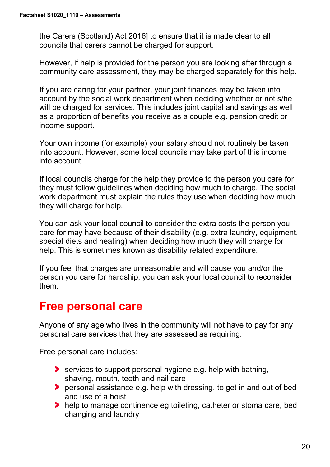the Carers (Scotland) Act 2016] to ensure that it is made clear to all councils that carers cannot be charged for support.

However, if help is provided for the person you are looking after through a community care assessment, they may be charged separately for this help.

If you are caring for your partner, your joint finances may be taken into account by the social work department when deciding whether or not s/he will be charged for services. This includes joint capital and savings as well as a proportion of benefits you receive as a couple e.g. pension credit or income support.

Your own income (for example) your salary should not routinely be taken into account. However, some local councils may take part of this income into account.

If local councils charge for the help they provide to the person you care for they must follow guidelines when deciding how much to charge. The social work department must explain the rules they use when deciding how much they will charge for help.

You can ask your local council to consider the extra costs the person you care for may have because of their disability (e.g. extra laundry, equipment, special diets and heating) when deciding how much they will charge for help. This is sometimes known as disability related expenditure.

If you feel that charges are unreasonable and will cause you and/or the person you care for hardship, you can ask your local council to reconsider them.

# **Free personal care**

Anyone of any age who lives in the community will not have to pay for any personal care services that they are assessed as requiring.

Free personal care includes:

- services to support personal hygiene e.g. help with bathing, shaving, mouth, teeth and nail care
- **Personal assistance e.g. help with dressing, to get in and out of bed** and use of a hoist
- help to manage continence eg toileting, catheter or stoma care, bed changing and laundry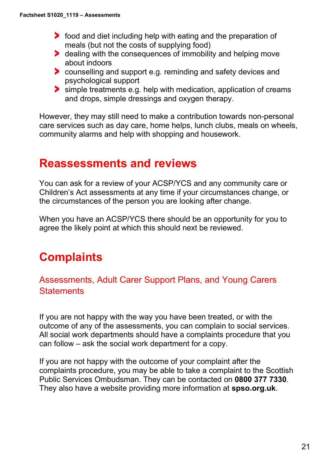- **Food and diet including help with eating and the preparation of** meals (but not the costs of supplying food)
- **b** dealing with the consequences of immobility and helping move about indoors
- **Counselling and support e.g. reminding and safety devices and** psychological support
- simple treatments e.g. help with medication, application of creams and drops, simple dressings and oxygen therapy.

However, they may still need to make a contribution towards non-personal care services such as day care, home helps, lunch clubs, meals on wheels, community alarms and help with shopping and housework.

# **Reassessments and reviews**

You can ask for a review of your ACSP/YCS and any community care or Children's Act assessments at any time if your circumstances change, or the circumstances of the person you are looking after change.

When you have an ACSP/YCS there should be an opportunity for you to agree the likely point at which this should next be reviewed.

# **Complaints**

# Assessments, Adult Carer Support Plans, and Young Carers **Statements**

If you are not happy with the way you have been treated, or with the outcome of any of the assessments, you can complain to social services. All social work departments should have a complaints procedure that you can follow – ask the social work department for a copy.

If you are not happy with the outcome of your complaint after the complaints procedure, you may be able to take a complaint to the Scottish Public Services Ombudsman. They can be contacted on **0800 377 7330**. They also have a website providing more information at **spso.org.uk**.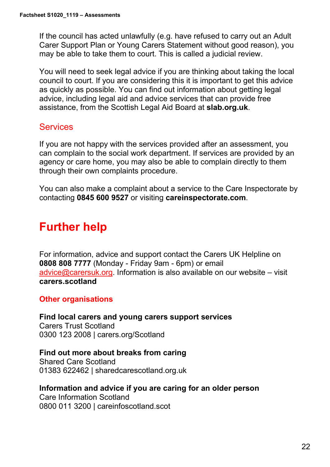If the council has acted unlawfully (e.g. have refused to carry out an Adult Carer Support Plan or Young Carers Statement without good reason), you may be able to take them to court. This is called a judicial review.

You will need to seek legal advice if you are thinking about taking the local council to court. If you are considering this it is important to get this advice as quickly as possible. You can find out information about getting legal advice, including legal aid and advice services that can provide free assistance, from the Scottish Legal Aid Board at **slab.org.uk**.

## **Services**

If you are not happy with the services provided after an assessment, you can complain to the social work department. If services are provided by an agency or care home, you may also be able to complain directly to them through their own complaints procedure.

You can also make a complaint about a service to the Care Inspectorate by contacting **0845 600 9527** or visiting **careinspectorate.com**.

# **Further help**

For information, advice and support contact the Carers UK Helpline on **0808 808 7777** (Monday - Friday 9am - 6pm) or email [advice@carersuk.org.](mailto:advice@carersuk.org) Information is also available on our website – visit **carers.scotland**

#### **Other organisations**

**Find local carers and young carers support services** Carers Trust Scotland 0300 123 2008 | carers.org/Scotland

#### **Find out more about breaks from caring**

Shared Care Scotland 01383 622462 | sharedcarescotland.org.uk

#### **Information and advice if you are caring for an older person**

Care Information Scotland 0800 011 3200 | careinfoscotland.scot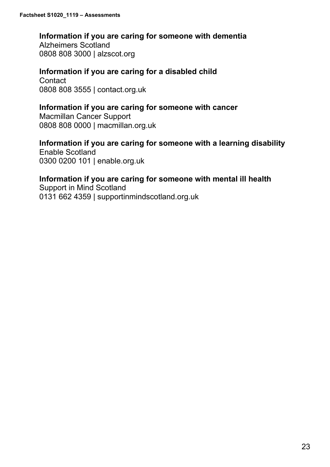#### **Information if you are caring for someone with dementia**

Alzheimers Scotland 0808 808 3000 | alzscot.org

#### **Information if you are caring for a disabled child**

**Contact** 0808 808 3555 | contact.org.uk

#### **Information if you are caring for someone with cancer**

Macmillan Cancer Support 0808 808 0000 | macmillan.org.uk

## **Information if you are caring for someone with a learning disability**

Enable Scotland 0300 0200 101 | enable.org.uk

## **Information if you are caring for someone with mental ill health**

Support in Mind Scotland 0131 662 4359 | supportinmindscotland.org.uk